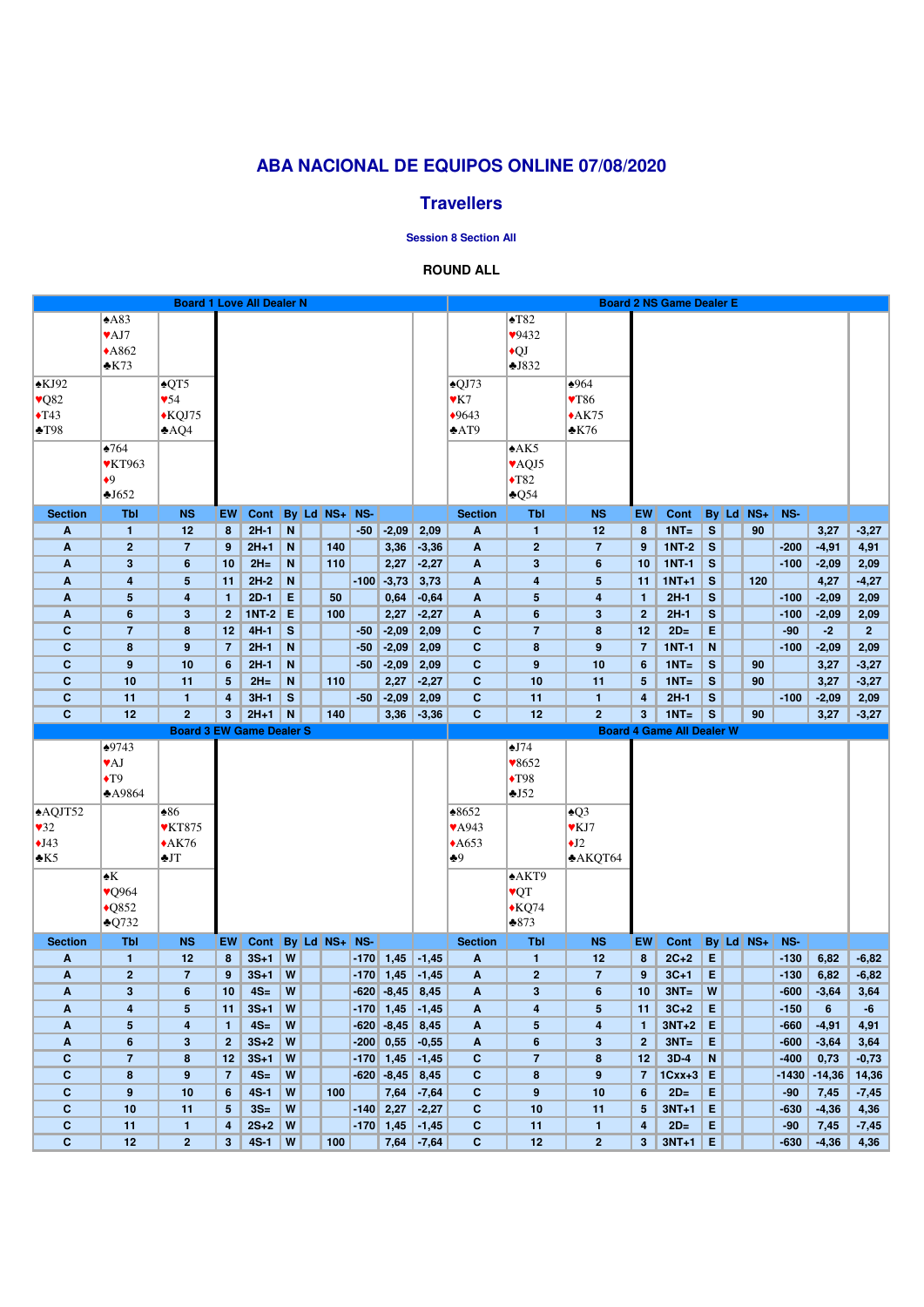| A83<br>$\blacktriangle$ T82<br>$\blacktriangledown$ AJ7<br>9432<br>$*A862$<br>$\bigcirc$<br>$\triangle$ K73<br>J832<br>$\triangle$ KJ92<br>$\triangle$ QT5<br>$\triangle$ QJ73<br>$*964$<br>$\vee$ Q82<br>$\sqrt{54}$<br>$\mathbf{Y}$ K7<br>$\blacktriangledown 86$<br>$\blacklozenge$ T43<br>$*$ KQJ75<br>$*9643$<br>$*AK75$<br>$*AT9$<br>$\cdot$ K76<br>$\blacktriangle$ T98<br>AQ4<br>$\triangle 764$<br>A K5<br><b>VKT963</b><br>VAQJ5<br>$\bullet$ <sup>9</sup><br>$\blacklozenge$ T82<br>$\triangle Q$ 54<br>$\triangle$ J652<br>By Ld NS+<br>By Ld NS+ NS-<br><b>NS</b><br>NS-<br><b>Section</b><br><b>Tbl</b><br><b>NS</b><br>EW<br>Cont<br><b>Section</b><br><b>Tbl</b><br>EW<br>Cont<br>$2H-1$<br>$-2,09$<br>$1NT =$<br>12<br>N<br>$-50$<br>2,09<br>12<br>$\mathbf{s}$<br>90<br>3,27<br>$-3,27$<br>A<br>$\mathbf{1}$<br>8<br>A<br>1<br>8<br>$1NT-2$<br>$2H+1$<br>N<br>140<br>3,36<br>$-3,36$<br>$\mathbf{2}$<br>$\mathbf{s}$<br>$-200$<br>$-4,91$<br>4,91<br>A<br>$\overline{2}$<br>$\overline{7}$<br>9<br>$\mathbf{A}$<br>$\overline{7}$<br>9<br>$2H=$<br>$1NT-1$<br>$\mathbf{3}$<br>$6\phantom{1}$<br>N<br>110<br>2,27<br>$-2,27$<br>$\mathbf 3$<br>$\mathbf{s}$<br>$-2,09$<br>2,09<br>$\mathbf{A}$<br>10<br>$\mathbf{A}$<br>6<br>10<br>$-100$<br>$2H-2$<br>$-100$ $-3,73$<br>$1NT+1$<br>N<br>3,73<br>$\mathbf{s}$<br>120<br>4,27<br>$-4,27$<br>$5\phantom{.0}$<br>$\mathbf{A}$<br>4<br>$5\phantom{.0}$<br>A<br>4<br>11<br>11<br>$2D-1$<br>E<br>50<br>S<br>0,64<br>$2H-1$<br>$-100$<br>$-2,09$<br>2,09<br>A<br>$5\phantom{1}$<br>$\overline{\mathbf{4}}$<br>$\mathbf{1}$<br>$-0,64$<br>A<br>$\sqrt{5}$<br>4<br>$\mathbf{1}$<br>E<br>S<br>$1NT-2$<br>6<br>$\mathbf{3}$<br>2 <sup>1</sup><br>100<br>2,27<br>$-2,27$<br>$\mathbf{A}$<br>6<br>3<br>$\overline{2}$<br>$2H-1$<br>$-100$<br>$-2,09$<br>2,09<br>A<br>S<br>$-2,09$<br>E<br>$\mathbf{C}$<br>$\overline{7}$<br>$4H-1$<br>$\mathbf{C}$<br>$\overline{7}$<br>$2D=$<br>$-2$<br>8<br>12<br>$-50$<br>2,09<br>8<br>12<br>$-90$<br>$\overline{2}$<br>$\mathbf N$<br>$\mathbf{C}$<br>9<br>$2H-1$<br>N<br>$-2,09$<br>$\mathbf{C}$<br>8<br>9<br>$1NT-1$<br>8<br>$\overline{7}$<br>$-50$<br>2,09<br>$\overline{7}$<br>$-100$<br>$-2,09$<br>2,09<br>$\mathbf{C}$<br>$-2,09$<br>$9$<br>10<br>$2H-1$<br>${\bf N}$<br>2,09<br>$\mathbf{C}$<br>$\boldsymbol{9}$<br>10<br>$1NT =$<br>S<br>90<br>6<br>$-50$<br>6<br>3,27<br>$-3,27$<br>$\mathbf{C}$<br>10<br>$2H=$<br>N<br>2,27<br>$\mathbf{C}$<br>10<br>$1NT =$<br>11<br>110<br>$-2,27$<br>11<br><sub>S</sub><br>90<br>3,27<br>$-3,27$<br>5<br>5<br>$-2,09$<br>$\mathbf{C}$<br>$3H-1$<br>S<br>2,09<br>$\mathbf{C}$<br>$\mathbf{s}$<br>11<br>$-50$<br>11<br>$2H-1$<br>$-100$<br>$-2,09$<br>2,09<br>4<br>4<br>$\mathbf{1}$<br>$\mathbf{1}$<br>$\mathbf{C}$<br>$\overline{2}$<br>$2H+1$<br>$\overline{2}$<br>$1NT =$<br>12<br>3 <sup>1</sup><br>N<br>3,36<br>$-3,36$<br>$\mathbf{C}$<br>12<br>3 <sup>5</sup><br>S<br>140<br>90<br>3,27<br>$-3,27$<br><b>Board 3 EW Game Dealer S</b><br><b>Board 4 Game All Dealer W</b><br>$\overline{\blacktriangleleft}$ J74<br>$\bigtriangleup 9743$<br><b>VAJ</b><br>$\blacktriangledown 8652$<br>$\blacklozenge$ T98<br>$\blacklozenge$ T9<br>$\triangle$ A9864<br>J52<br>$\triangle$ AQJT52<br>$\triangle 86$<br>$*8652$<br>$\triangle Q3$<br>$\sqrt{32}$<br><b>VKT875</b><br><b>VA943</b><br>$\blacktriangledown$ KJ7<br>$\bigcup$ 43<br>$*AK76$<br>$\bigstar J2$<br>$*A653$<br>$\cdot$ K5<br>JT<br>$+9$<br>$*AKQT64$<br>AKT9<br>$\blacktriangle K$<br>VQT<br>$\sqrt{Q}964$<br>$*KQ74$<br>$\triangle$ Q852<br>$\triangle Q732$<br>$*873$<br>$By$ Ld $NS+$<br>$By$ Ld $NS+$ NS-<br><b>Section</b><br><b>Tbl</b><br>EW<br>Cont<br><b>Section</b><br><b>Tbl</b><br><b>NS</b><br>NS-<br><b>NS</b><br><b>EW</b><br><b>Cont</b><br>$3S+1$<br>W<br>1,45<br>$2C+2$<br>E<br>$-6,82$<br>12<br>$-170$<br>$-1,45$<br>$-130$<br>6,82<br>A<br>$\mathbf{1}$<br>8<br>$\mathbf{A}$<br>$\mathbf{1}$<br>12<br>8<br>W<br>1,45<br>$\overline{2}$<br>$3S+1$<br>$\mathbf{2}$<br>$3C+1$<br>E<br>6,82<br>$-6,82$<br>A<br>$\overline{7}$<br>9<br>$-170$<br>$-1,45$<br>$\mathbf{A}$<br>$\overline{7}$<br>9<br>$-130$<br>$4S=$<br>W<br>$-620$ $-8,45$<br>$3NT =$<br>W<br>$\mathbf{3}$<br>8,45<br>$\mathbf 3$<br>$-600$<br>$-3,64$<br>A<br>6<br>$\mathbf{A}$<br>6<br>3,64<br>10<br>10<br>$3S+1$<br>W<br>$-170$ 1,45<br>$3C+2$<br>$5\phantom{.0}$<br>E<br>$-150$<br>$-1,45$<br>$\overline{\mathbf{r}}$<br>$6\phantom{1}$<br>$-6$<br>A<br>4<br>5<br>11<br>A<br>11<br>$3NT+2$<br>$4S=$<br>W<br>$-620 - 8,45$<br>E<br>$-660$<br>4,91<br>$5\phantom{1}$<br>8,45<br>$-4,91$<br>A<br>4<br>$\mathbf{1}$<br>$\mathbf{A}$<br>5<br>4<br>$\mathbf{1}$<br>$3S+2$<br>W<br>E<br>$-200$ 0,55<br>$-0,55$<br>$3NT =$<br>$-3,64$<br>$6\phantom{1}$<br>$\mathbf{3}$<br>2 <sup>1</sup><br>6<br>3<br>2 <sub>2</sub><br>$-600$<br>3,64<br>A<br>$\mathbf{A}$<br>W<br>$3D-4$<br>$\mathbf N$<br>$\mathbf c$<br>$\overline{7}$<br>$3S+1$<br>$-170$ 1,45<br>$\mathbf{C}$<br>$\overline{7}$<br>0,73<br>8<br>12<br>8<br>$-400$<br>$-0,73$<br>$-1,45$<br>12<br>$\mathbf C$<br>W<br>$-620$ $-8,45$<br>$\mathbf{C}$<br>$1CxX+3$<br>E<br>8<br>9<br>$\overline{7}$<br>$4S=$<br>8,45<br>8<br>9<br>$\overline{7}$<br>$-1430$<br>$-14,36$<br>14,36<br>$\mathbf{C}$<br>E<br>$9$<br>10<br>$4S-1$<br>W<br>100<br>7,64<br>$-7,64$<br>$\mathbf{C}$<br>10<br>$2D=$<br>6<br>$\boldsymbol{9}$<br>6<br>$-90$<br>7,45<br>$-7,45$<br>$\mathbf{C}$<br>$3S=$<br>W<br>$-140$<br>2,27<br>$\mathbf{C}$<br>$3NT+1$<br>E<br>10<br>11<br>$-2,27$<br>10<br>$-630$<br>$-4,36$<br>4,36<br>5 <sup>5</sup><br>11<br>$5^{\circ}$<br>$\mathbf{C}$<br>$2S+2$<br>W<br>$-170$ 1,45<br>$2D=$<br>E<br>11<br>$-1,45$<br>$\mathbf{C}$<br>11<br>4<br>7,45<br>$-7,45$<br>4<br>$-90$<br>$\mathbf{1}$<br>$\mathbf{1}$<br>$\mathbf{C}$<br>$3NT+1$<br>E<br>12<br>2 <sup>2</sup><br>$4S-1$<br>W<br>7,64<br>$-7,64$<br>$\mathbf{C}$<br>$\overline{2}$<br>$-630$<br>$-4,36$<br>3 <sup>1</sup><br>100<br>12<br>3 <sup>2</sup><br>4,36 |  | <b>Board 1 Love All Dealer N</b> |  |  |  |  |  |  | <b>Board 2 NS Game Dealer E</b> |  |  |  |
|--------------------------------------------------------------------------------------------------------------------------------------------------------------------------------------------------------------------------------------------------------------------------------------------------------------------------------------------------------------------------------------------------------------------------------------------------------------------------------------------------------------------------------------------------------------------------------------------------------------------------------------------------------------------------------------------------------------------------------------------------------------------------------------------------------------------------------------------------------------------------------------------------------------------------------------------------------------------------------------------------------------------------------------------------------------------------------------------------------------------------------------------------------------------------------------------------------------------------------------------------------------------------------------------------------------------------------------------------------------------------------------------------------------------------------------------------------------------------------------------------------------------------------------------------------------------------------------------------------------------------------------------------------------------------------------------------------------------------------------------------------------------------------------------------------------------------------------------------------------------------------------------------------------------------------------------------------------------------------------------------------------------------------------------------------------------------------------------------------------------------------------------------------------------------------------------------------------------------------------------------------------------------------------------------------------------------------------------------------------------------------------------------------------------------------------------------------------------------------------------------------------------------------------------------------------------------------------------------------------------------------------------------------------------------------------------------------------------------------------------------------------------------------------------------------------------------------------------------------------------------------------------------------------------------------------------------------------------------------------------------------------------------------------------------------------------------------------------------------------------------------------------------------------------------------------------------------------------------------------------------------------------------------------------------------------------------------------------------------------------------------------------------------------------------------------------------------------------------------------------------------------------------------------------------------------------------------------------------------------------------------------------------------------------------------------------------------------------------------------------------------------------------------------------------------------------------------------------------------------------------------------------------------------------------------------------------------------------------------------------------------------------------------------------------------------------------------------------------------------------------------------------------------------------------------------------------------------------------------------------------------------------------------------------------------------------------------------------------------------------------------------------------------------------------------------------------------------------------------------------------------------------------------------------------------------------------------------------------------------------------------------------------------------------------------------------------------------------------------------------------------------------------------------------------------------------------------------------------------------------------------------------------------------------------------------------------------------------------------------------------------------------------------------------------------------------------------------------------------------------------------------------------------------------------------------------------------------------------------------------------------------------------------------------------------------------------------------------------------------------------------------------------------------------------------------------------------------------------------------------------------------------------------------------------------------------------------------------------------------------------------------------------------------------------------------------------------------------------------------------------------------------------------------------------------------------------------------------------------------------------------------------------------------------------------------------------------------|--|----------------------------------|--|--|--|--|--|--|---------------------------------|--|--|--|
|                                                                                                                                                                                                                                                                                                                                                                                                                                                                                                                                                                                                                                                                                                                                                                                                                                                                                                                                                                                                                                                                                                                                                                                                                                                                                                                                                                                                                                                                                                                                                                                                                                                                                                                                                                                                                                                                                                                                                                                                                                                                                                                                                                                                                                                                                                                                                                                                                                                                                                                                                                                                                                                                                                                                                                                                                                                                                                                                                                                                                                                                                                                                                                                                                                                                                                                                                                                                                                                                                                                                                                                                                                                                                                                                                                                                                                                                                                                                                                                                                                                                                                                                                                                                                                                                                                                                                                                                                                                                                                                                                                                                                                                                                                                                                                                                                                                                                                                                                                                                                                                                                                                                                                                                                                                                                                                                                                                                                                                                                                                                                                                                                                                                                                                                                                                                                                                                                                                                                              |  |                                  |  |  |  |  |  |  |                                 |  |  |  |
|                                                                                                                                                                                                                                                                                                                                                                                                                                                                                                                                                                                                                                                                                                                                                                                                                                                                                                                                                                                                                                                                                                                                                                                                                                                                                                                                                                                                                                                                                                                                                                                                                                                                                                                                                                                                                                                                                                                                                                                                                                                                                                                                                                                                                                                                                                                                                                                                                                                                                                                                                                                                                                                                                                                                                                                                                                                                                                                                                                                                                                                                                                                                                                                                                                                                                                                                                                                                                                                                                                                                                                                                                                                                                                                                                                                                                                                                                                                                                                                                                                                                                                                                                                                                                                                                                                                                                                                                                                                                                                                                                                                                                                                                                                                                                                                                                                                                                                                                                                                                                                                                                                                                                                                                                                                                                                                                                                                                                                                                                                                                                                                                                                                                                                                                                                                                                                                                                                                                                              |  |                                  |  |  |  |  |  |  |                                 |  |  |  |
|                                                                                                                                                                                                                                                                                                                                                                                                                                                                                                                                                                                                                                                                                                                                                                                                                                                                                                                                                                                                                                                                                                                                                                                                                                                                                                                                                                                                                                                                                                                                                                                                                                                                                                                                                                                                                                                                                                                                                                                                                                                                                                                                                                                                                                                                                                                                                                                                                                                                                                                                                                                                                                                                                                                                                                                                                                                                                                                                                                                                                                                                                                                                                                                                                                                                                                                                                                                                                                                                                                                                                                                                                                                                                                                                                                                                                                                                                                                                                                                                                                                                                                                                                                                                                                                                                                                                                                                                                                                                                                                                                                                                                                                                                                                                                                                                                                                                                                                                                                                                                                                                                                                                                                                                                                                                                                                                                                                                                                                                                                                                                                                                                                                                                                                                                                                                                                                                                                                                                              |  |                                  |  |  |  |  |  |  |                                 |  |  |  |
|                                                                                                                                                                                                                                                                                                                                                                                                                                                                                                                                                                                                                                                                                                                                                                                                                                                                                                                                                                                                                                                                                                                                                                                                                                                                                                                                                                                                                                                                                                                                                                                                                                                                                                                                                                                                                                                                                                                                                                                                                                                                                                                                                                                                                                                                                                                                                                                                                                                                                                                                                                                                                                                                                                                                                                                                                                                                                                                                                                                                                                                                                                                                                                                                                                                                                                                                                                                                                                                                                                                                                                                                                                                                                                                                                                                                                                                                                                                                                                                                                                                                                                                                                                                                                                                                                                                                                                                                                                                                                                                                                                                                                                                                                                                                                                                                                                                                                                                                                                                                                                                                                                                                                                                                                                                                                                                                                                                                                                                                                                                                                                                                                                                                                                                                                                                                                                                                                                                                                              |  |                                  |  |  |  |  |  |  |                                 |  |  |  |
|                                                                                                                                                                                                                                                                                                                                                                                                                                                                                                                                                                                                                                                                                                                                                                                                                                                                                                                                                                                                                                                                                                                                                                                                                                                                                                                                                                                                                                                                                                                                                                                                                                                                                                                                                                                                                                                                                                                                                                                                                                                                                                                                                                                                                                                                                                                                                                                                                                                                                                                                                                                                                                                                                                                                                                                                                                                                                                                                                                                                                                                                                                                                                                                                                                                                                                                                                                                                                                                                                                                                                                                                                                                                                                                                                                                                                                                                                                                                                                                                                                                                                                                                                                                                                                                                                                                                                                                                                                                                                                                                                                                                                                                                                                                                                                                                                                                                                                                                                                                                                                                                                                                                                                                                                                                                                                                                                                                                                                                                                                                                                                                                                                                                                                                                                                                                                                                                                                                                                              |  |                                  |  |  |  |  |  |  |                                 |  |  |  |
|                                                                                                                                                                                                                                                                                                                                                                                                                                                                                                                                                                                                                                                                                                                                                                                                                                                                                                                                                                                                                                                                                                                                                                                                                                                                                                                                                                                                                                                                                                                                                                                                                                                                                                                                                                                                                                                                                                                                                                                                                                                                                                                                                                                                                                                                                                                                                                                                                                                                                                                                                                                                                                                                                                                                                                                                                                                                                                                                                                                                                                                                                                                                                                                                                                                                                                                                                                                                                                                                                                                                                                                                                                                                                                                                                                                                                                                                                                                                                                                                                                                                                                                                                                                                                                                                                                                                                                                                                                                                                                                                                                                                                                                                                                                                                                                                                                                                                                                                                                                                                                                                                                                                                                                                                                                                                                                                                                                                                                                                                                                                                                                                                                                                                                                                                                                                                                                                                                                                                              |  |                                  |  |  |  |  |  |  |                                 |  |  |  |
|                                                                                                                                                                                                                                                                                                                                                                                                                                                                                                                                                                                                                                                                                                                                                                                                                                                                                                                                                                                                                                                                                                                                                                                                                                                                                                                                                                                                                                                                                                                                                                                                                                                                                                                                                                                                                                                                                                                                                                                                                                                                                                                                                                                                                                                                                                                                                                                                                                                                                                                                                                                                                                                                                                                                                                                                                                                                                                                                                                                                                                                                                                                                                                                                                                                                                                                                                                                                                                                                                                                                                                                                                                                                                                                                                                                                                                                                                                                                                                                                                                                                                                                                                                                                                                                                                                                                                                                                                                                                                                                                                                                                                                                                                                                                                                                                                                                                                                                                                                                                                                                                                                                                                                                                                                                                                                                                                                                                                                                                                                                                                                                                                                                                                                                                                                                                                                                                                                                                                              |  |                                  |  |  |  |  |  |  |                                 |  |  |  |
|                                                                                                                                                                                                                                                                                                                                                                                                                                                                                                                                                                                                                                                                                                                                                                                                                                                                                                                                                                                                                                                                                                                                                                                                                                                                                                                                                                                                                                                                                                                                                                                                                                                                                                                                                                                                                                                                                                                                                                                                                                                                                                                                                                                                                                                                                                                                                                                                                                                                                                                                                                                                                                                                                                                                                                                                                                                                                                                                                                                                                                                                                                                                                                                                                                                                                                                                                                                                                                                                                                                                                                                                                                                                                                                                                                                                                                                                                                                                                                                                                                                                                                                                                                                                                                                                                                                                                                                                                                                                                                                                                                                                                                                                                                                                                                                                                                                                                                                                                                                                                                                                                                                                                                                                                                                                                                                                                                                                                                                                                                                                                                                                                                                                                                                                                                                                                                                                                                                                                              |  |                                  |  |  |  |  |  |  |                                 |  |  |  |
|                                                                                                                                                                                                                                                                                                                                                                                                                                                                                                                                                                                                                                                                                                                                                                                                                                                                                                                                                                                                                                                                                                                                                                                                                                                                                                                                                                                                                                                                                                                                                                                                                                                                                                                                                                                                                                                                                                                                                                                                                                                                                                                                                                                                                                                                                                                                                                                                                                                                                                                                                                                                                                                                                                                                                                                                                                                                                                                                                                                                                                                                                                                                                                                                                                                                                                                                                                                                                                                                                                                                                                                                                                                                                                                                                                                                                                                                                                                                                                                                                                                                                                                                                                                                                                                                                                                                                                                                                                                                                                                                                                                                                                                                                                                                                                                                                                                                                                                                                                                                                                                                                                                                                                                                                                                                                                                                                                                                                                                                                                                                                                                                                                                                                                                                                                                                                                                                                                                                                              |  |                                  |  |  |  |  |  |  |                                 |  |  |  |
|                                                                                                                                                                                                                                                                                                                                                                                                                                                                                                                                                                                                                                                                                                                                                                                                                                                                                                                                                                                                                                                                                                                                                                                                                                                                                                                                                                                                                                                                                                                                                                                                                                                                                                                                                                                                                                                                                                                                                                                                                                                                                                                                                                                                                                                                                                                                                                                                                                                                                                                                                                                                                                                                                                                                                                                                                                                                                                                                                                                                                                                                                                                                                                                                                                                                                                                                                                                                                                                                                                                                                                                                                                                                                                                                                                                                                                                                                                                                                                                                                                                                                                                                                                                                                                                                                                                                                                                                                                                                                                                                                                                                                                                                                                                                                                                                                                                                                                                                                                                                                                                                                                                                                                                                                                                                                                                                                                                                                                                                                                                                                                                                                                                                                                                                                                                                                                                                                                                                                              |  |                                  |  |  |  |  |  |  |                                 |  |  |  |
|                                                                                                                                                                                                                                                                                                                                                                                                                                                                                                                                                                                                                                                                                                                                                                                                                                                                                                                                                                                                                                                                                                                                                                                                                                                                                                                                                                                                                                                                                                                                                                                                                                                                                                                                                                                                                                                                                                                                                                                                                                                                                                                                                                                                                                                                                                                                                                                                                                                                                                                                                                                                                                                                                                                                                                                                                                                                                                                                                                                                                                                                                                                                                                                                                                                                                                                                                                                                                                                                                                                                                                                                                                                                                                                                                                                                                                                                                                                                                                                                                                                                                                                                                                                                                                                                                                                                                                                                                                                                                                                                                                                                                                                                                                                                                                                                                                                                                                                                                                                                                                                                                                                                                                                                                                                                                                                                                                                                                                                                                                                                                                                                                                                                                                                                                                                                                                                                                                                                                              |  |                                  |  |  |  |  |  |  |                                 |  |  |  |
|                                                                                                                                                                                                                                                                                                                                                                                                                                                                                                                                                                                                                                                                                                                                                                                                                                                                                                                                                                                                                                                                                                                                                                                                                                                                                                                                                                                                                                                                                                                                                                                                                                                                                                                                                                                                                                                                                                                                                                                                                                                                                                                                                                                                                                                                                                                                                                                                                                                                                                                                                                                                                                                                                                                                                                                                                                                                                                                                                                                                                                                                                                                                                                                                                                                                                                                                                                                                                                                                                                                                                                                                                                                                                                                                                                                                                                                                                                                                                                                                                                                                                                                                                                                                                                                                                                                                                                                                                                                                                                                                                                                                                                                                                                                                                                                                                                                                                                                                                                                                                                                                                                                                                                                                                                                                                                                                                                                                                                                                                                                                                                                                                                                                                                                                                                                                                                                                                                                                                              |  |                                  |  |  |  |  |  |  |                                 |  |  |  |
|                                                                                                                                                                                                                                                                                                                                                                                                                                                                                                                                                                                                                                                                                                                                                                                                                                                                                                                                                                                                                                                                                                                                                                                                                                                                                                                                                                                                                                                                                                                                                                                                                                                                                                                                                                                                                                                                                                                                                                                                                                                                                                                                                                                                                                                                                                                                                                                                                                                                                                                                                                                                                                                                                                                                                                                                                                                                                                                                                                                                                                                                                                                                                                                                                                                                                                                                                                                                                                                                                                                                                                                                                                                                                                                                                                                                                                                                                                                                                                                                                                                                                                                                                                                                                                                                                                                                                                                                                                                                                                                                                                                                                                                                                                                                                                                                                                                                                                                                                                                                                                                                                                                                                                                                                                                                                                                                                                                                                                                                                                                                                                                                                                                                                                                                                                                                                                                                                                                                                              |  |                                  |  |  |  |  |  |  |                                 |  |  |  |
|                                                                                                                                                                                                                                                                                                                                                                                                                                                                                                                                                                                                                                                                                                                                                                                                                                                                                                                                                                                                                                                                                                                                                                                                                                                                                                                                                                                                                                                                                                                                                                                                                                                                                                                                                                                                                                                                                                                                                                                                                                                                                                                                                                                                                                                                                                                                                                                                                                                                                                                                                                                                                                                                                                                                                                                                                                                                                                                                                                                                                                                                                                                                                                                                                                                                                                                                                                                                                                                                                                                                                                                                                                                                                                                                                                                                                                                                                                                                                                                                                                                                                                                                                                                                                                                                                                                                                                                                                                                                                                                                                                                                                                                                                                                                                                                                                                                                                                                                                                                                                                                                                                                                                                                                                                                                                                                                                                                                                                                                                                                                                                                                                                                                                                                                                                                                                                                                                                                                                              |  |                                  |  |  |  |  |  |  |                                 |  |  |  |
|                                                                                                                                                                                                                                                                                                                                                                                                                                                                                                                                                                                                                                                                                                                                                                                                                                                                                                                                                                                                                                                                                                                                                                                                                                                                                                                                                                                                                                                                                                                                                                                                                                                                                                                                                                                                                                                                                                                                                                                                                                                                                                                                                                                                                                                                                                                                                                                                                                                                                                                                                                                                                                                                                                                                                                                                                                                                                                                                                                                                                                                                                                                                                                                                                                                                                                                                                                                                                                                                                                                                                                                                                                                                                                                                                                                                                                                                                                                                                                                                                                                                                                                                                                                                                                                                                                                                                                                                                                                                                                                                                                                                                                                                                                                                                                                                                                                                                                                                                                                                                                                                                                                                                                                                                                                                                                                                                                                                                                                                                                                                                                                                                                                                                                                                                                                                                                                                                                                                                              |  |                                  |  |  |  |  |  |  |                                 |  |  |  |
|                                                                                                                                                                                                                                                                                                                                                                                                                                                                                                                                                                                                                                                                                                                                                                                                                                                                                                                                                                                                                                                                                                                                                                                                                                                                                                                                                                                                                                                                                                                                                                                                                                                                                                                                                                                                                                                                                                                                                                                                                                                                                                                                                                                                                                                                                                                                                                                                                                                                                                                                                                                                                                                                                                                                                                                                                                                                                                                                                                                                                                                                                                                                                                                                                                                                                                                                                                                                                                                                                                                                                                                                                                                                                                                                                                                                                                                                                                                                                                                                                                                                                                                                                                                                                                                                                                                                                                                                                                                                                                                                                                                                                                                                                                                                                                                                                                                                                                                                                                                                                                                                                                                                                                                                                                                                                                                                                                                                                                                                                                                                                                                                                                                                                                                                                                                                                                                                                                                                                              |  |                                  |  |  |  |  |  |  |                                 |  |  |  |
|                                                                                                                                                                                                                                                                                                                                                                                                                                                                                                                                                                                                                                                                                                                                                                                                                                                                                                                                                                                                                                                                                                                                                                                                                                                                                                                                                                                                                                                                                                                                                                                                                                                                                                                                                                                                                                                                                                                                                                                                                                                                                                                                                                                                                                                                                                                                                                                                                                                                                                                                                                                                                                                                                                                                                                                                                                                                                                                                                                                                                                                                                                                                                                                                                                                                                                                                                                                                                                                                                                                                                                                                                                                                                                                                                                                                                                                                                                                                                                                                                                                                                                                                                                                                                                                                                                                                                                                                                                                                                                                                                                                                                                                                                                                                                                                                                                                                                                                                                                                                                                                                                                                                                                                                                                                                                                                                                                                                                                                                                                                                                                                                                                                                                                                                                                                                                                                                                                                                                              |  |                                  |  |  |  |  |  |  |                                 |  |  |  |
|                                                                                                                                                                                                                                                                                                                                                                                                                                                                                                                                                                                                                                                                                                                                                                                                                                                                                                                                                                                                                                                                                                                                                                                                                                                                                                                                                                                                                                                                                                                                                                                                                                                                                                                                                                                                                                                                                                                                                                                                                                                                                                                                                                                                                                                                                                                                                                                                                                                                                                                                                                                                                                                                                                                                                                                                                                                                                                                                                                                                                                                                                                                                                                                                                                                                                                                                                                                                                                                                                                                                                                                                                                                                                                                                                                                                                                                                                                                                                                                                                                                                                                                                                                                                                                                                                                                                                                                                                                                                                                                                                                                                                                                                                                                                                                                                                                                                                                                                                                                                                                                                                                                                                                                                                                                                                                                                                                                                                                                                                                                                                                                                                                                                                                                                                                                                                                                                                                                                                              |  |                                  |  |  |  |  |  |  |                                 |  |  |  |
|                                                                                                                                                                                                                                                                                                                                                                                                                                                                                                                                                                                                                                                                                                                                                                                                                                                                                                                                                                                                                                                                                                                                                                                                                                                                                                                                                                                                                                                                                                                                                                                                                                                                                                                                                                                                                                                                                                                                                                                                                                                                                                                                                                                                                                                                                                                                                                                                                                                                                                                                                                                                                                                                                                                                                                                                                                                                                                                                                                                                                                                                                                                                                                                                                                                                                                                                                                                                                                                                                                                                                                                                                                                                                                                                                                                                                                                                                                                                                                                                                                                                                                                                                                                                                                                                                                                                                                                                                                                                                                                                                                                                                                                                                                                                                                                                                                                                                                                                                                                                                                                                                                                                                                                                                                                                                                                                                                                                                                                                                                                                                                                                                                                                                                                                                                                                                                                                                                                                                              |  |                                  |  |  |  |  |  |  |                                 |  |  |  |
|                                                                                                                                                                                                                                                                                                                                                                                                                                                                                                                                                                                                                                                                                                                                                                                                                                                                                                                                                                                                                                                                                                                                                                                                                                                                                                                                                                                                                                                                                                                                                                                                                                                                                                                                                                                                                                                                                                                                                                                                                                                                                                                                                                                                                                                                                                                                                                                                                                                                                                                                                                                                                                                                                                                                                                                                                                                                                                                                                                                                                                                                                                                                                                                                                                                                                                                                                                                                                                                                                                                                                                                                                                                                                                                                                                                                                                                                                                                                                                                                                                                                                                                                                                                                                                                                                                                                                                                                                                                                                                                                                                                                                                                                                                                                                                                                                                                                                                                                                                                                                                                                                                                                                                                                                                                                                                                                                                                                                                                                                                                                                                                                                                                                                                                                                                                                                                                                                                                                                              |  |                                  |  |  |  |  |  |  |                                 |  |  |  |
|                                                                                                                                                                                                                                                                                                                                                                                                                                                                                                                                                                                                                                                                                                                                                                                                                                                                                                                                                                                                                                                                                                                                                                                                                                                                                                                                                                                                                                                                                                                                                                                                                                                                                                                                                                                                                                                                                                                                                                                                                                                                                                                                                                                                                                                                                                                                                                                                                                                                                                                                                                                                                                                                                                                                                                                                                                                                                                                                                                                                                                                                                                                                                                                                                                                                                                                                                                                                                                                                                                                                                                                                                                                                                                                                                                                                                                                                                                                                                                                                                                                                                                                                                                                                                                                                                                                                                                                                                                                                                                                                                                                                                                                                                                                                                                                                                                                                                                                                                                                                                                                                                                                                                                                                                                                                                                                                                                                                                                                                                                                                                                                                                                                                                                                                                                                                                                                                                                                                                              |  |                                  |  |  |  |  |  |  |                                 |  |  |  |
|                                                                                                                                                                                                                                                                                                                                                                                                                                                                                                                                                                                                                                                                                                                                                                                                                                                                                                                                                                                                                                                                                                                                                                                                                                                                                                                                                                                                                                                                                                                                                                                                                                                                                                                                                                                                                                                                                                                                                                                                                                                                                                                                                                                                                                                                                                                                                                                                                                                                                                                                                                                                                                                                                                                                                                                                                                                                                                                                                                                                                                                                                                                                                                                                                                                                                                                                                                                                                                                                                                                                                                                                                                                                                                                                                                                                                                                                                                                                                                                                                                                                                                                                                                                                                                                                                                                                                                                                                                                                                                                                                                                                                                                                                                                                                                                                                                                                                                                                                                                                                                                                                                                                                                                                                                                                                                                                                                                                                                                                                                                                                                                                                                                                                                                                                                                                                                                                                                                                                              |  |                                  |  |  |  |  |  |  |                                 |  |  |  |
|                                                                                                                                                                                                                                                                                                                                                                                                                                                                                                                                                                                                                                                                                                                                                                                                                                                                                                                                                                                                                                                                                                                                                                                                                                                                                                                                                                                                                                                                                                                                                                                                                                                                                                                                                                                                                                                                                                                                                                                                                                                                                                                                                                                                                                                                                                                                                                                                                                                                                                                                                                                                                                                                                                                                                                                                                                                                                                                                                                                                                                                                                                                                                                                                                                                                                                                                                                                                                                                                                                                                                                                                                                                                                                                                                                                                                                                                                                                                                                                                                                                                                                                                                                                                                                                                                                                                                                                                                                                                                                                                                                                                                                                                                                                                                                                                                                                                                                                                                                                                                                                                                                                                                                                                                                                                                                                                                                                                                                                                                                                                                                                                                                                                                                                                                                                                                                                                                                                                                              |  |                                  |  |  |  |  |  |  |                                 |  |  |  |
|                                                                                                                                                                                                                                                                                                                                                                                                                                                                                                                                                                                                                                                                                                                                                                                                                                                                                                                                                                                                                                                                                                                                                                                                                                                                                                                                                                                                                                                                                                                                                                                                                                                                                                                                                                                                                                                                                                                                                                                                                                                                                                                                                                                                                                                                                                                                                                                                                                                                                                                                                                                                                                                                                                                                                                                                                                                                                                                                                                                                                                                                                                                                                                                                                                                                                                                                                                                                                                                                                                                                                                                                                                                                                                                                                                                                                                                                                                                                                                                                                                                                                                                                                                                                                                                                                                                                                                                                                                                                                                                                                                                                                                                                                                                                                                                                                                                                                                                                                                                                                                                                                                                                                                                                                                                                                                                                                                                                                                                                                                                                                                                                                                                                                                                                                                                                                                                                                                                                                              |  |                                  |  |  |  |  |  |  |                                 |  |  |  |
|                                                                                                                                                                                                                                                                                                                                                                                                                                                                                                                                                                                                                                                                                                                                                                                                                                                                                                                                                                                                                                                                                                                                                                                                                                                                                                                                                                                                                                                                                                                                                                                                                                                                                                                                                                                                                                                                                                                                                                                                                                                                                                                                                                                                                                                                                                                                                                                                                                                                                                                                                                                                                                                                                                                                                                                                                                                                                                                                                                                                                                                                                                                                                                                                                                                                                                                                                                                                                                                                                                                                                                                                                                                                                                                                                                                                                                                                                                                                                                                                                                                                                                                                                                                                                                                                                                                                                                                                                                                                                                                                                                                                                                                                                                                                                                                                                                                                                                                                                                                                                                                                                                                                                                                                                                                                                                                                                                                                                                                                                                                                                                                                                                                                                                                                                                                                                                                                                                                                                              |  |                                  |  |  |  |  |  |  |                                 |  |  |  |
|                                                                                                                                                                                                                                                                                                                                                                                                                                                                                                                                                                                                                                                                                                                                                                                                                                                                                                                                                                                                                                                                                                                                                                                                                                                                                                                                                                                                                                                                                                                                                                                                                                                                                                                                                                                                                                                                                                                                                                                                                                                                                                                                                                                                                                                                                                                                                                                                                                                                                                                                                                                                                                                                                                                                                                                                                                                                                                                                                                                                                                                                                                                                                                                                                                                                                                                                                                                                                                                                                                                                                                                                                                                                                                                                                                                                                                                                                                                                                                                                                                                                                                                                                                                                                                                                                                                                                                                                                                                                                                                                                                                                                                                                                                                                                                                                                                                                                                                                                                                                                                                                                                                                                                                                                                                                                                                                                                                                                                                                                                                                                                                                                                                                                                                                                                                                                                                                                                                                                              |  |                                  |  |  |  |  |  |  |                                 |  |  |  |
|                                                                                                                                                                                                                                                                                                                                                                                                                                                                                                                                                                                                                                                                                                                                                                                                                                                                                                                                                                                                                                                                                                                                                                                                                                                                                                                                                                                                                                                                                                                                                                                                                                                                                                                                                                                                                                                                                                                                                                                                                                                                                                                                                                                                                                                                                                                                                                                                                                                                                                                                                                                                                                                                                                                                                                                                                                                                                                                                                                                                                                                                                                                                                                                                                                                                                                                                                                                                                                                                                                                                                                                                                                                                                                                                                                                                                                                                                                                                                                                                                                                                                                                                                                                                                                                                                                                                                                                                                                                                                                                                                                                                                                                                                                                                                                                                                                                                                                                                                                                                                                                                                                                                                                                                                                                                                                                                                                                                                                                                                                                                                                                                                                                                                                                                                                                                                                                                                                                                                              |  |                                  |  |  |  |  |  |  |                                 |  |  |  |
|                                                                                                                                                                                                                                                                                                                                                                                                                                                                                                                                                                                                                                                                                                                                                                                                                                                                                                                                                                                                                                                                                                                                                                                                                                                                                                                                                                                                                                                                                                                                                                                                                                                                                                                                                                                                                                                                                                                                                                                                                                                                                                                                                                                                                                                                                                                                                                                                                                                                                                                                                                                                                                                                                                                                                                                                                                                                                                                                                                                                                                                                                                                                                                                                                                                                                                                                                                                                                                                                                                                                                                                                                                                                                                                                                                                                                                                                                                                                                                                                                                                                                                                                                                                                                                                                                                                                                                                                                                                                                                                                                                                                                                                                                                                                                                                                                                                                                                                                                                                                                                                                                                                                                                                                                                                                                                                                                                                                                                                                                                                                                                                                                                                                                                                                                                                                                                                                                                                                                              |  |                                  |  |  |  |  |  |  |                                 |  |  |  |
|                                                                                                                                                                                                                                                                                                                                                                                                                                                                                                                                                                                                                                                                                                                                                                                                                                                                                                                                                                                                                                                                                                                                                                                                                                                                                                                                                                                                                                                                                                                                                                                                                                                                                                                                                                                                                                                                                                                                                                                                                                                                                                                                                                                                                                                                                                                                                                                                                                                                                                                                                                                                                                                                                                                                                                                                                                                                                                                                                                                                                                                                                                                                                                                                                                                                                                                                                                                                                                                                                                                                                                                                                                                                                                                                                                                                                                                                                                                                                                                                                                                                                                                                                                                                                                                                                                                                                                                                                                                                                                                                                                                                                                                                                                                                                                                                                                                                                                                                                                                                                                                                                                                                                                                                                                                                                                                                                                                                                                                                                                                                                                                                                                                                                                                                                                                                                                                                                                                                                              |  |                                  |  |  |  |  |  |  |                                 |  |  |  |
|                                                                                                                                                                                                                                                                                                                                                                                                                                                                                                                                                                                                                                                                                                                                                                                                                                                                                                                                                                                                                                                                                                                                                                                                                                                                                                                                                                                                                                                                                                                                                                                                                                                                                                                                                                                                                                                                                                                                                                                                                                                                                                                                                                                                                                                                                                                                                                                                                                                                                                                                                                                                                                                                                                                                                                                                                                                                                                                                                                                                                                                                                                                                                                                                                                                                                                                                                                                                                                                                                                                                                                                                                                                                                                                                                                                                                                                                                                                                                                                                                                                                                                                                                                                                                                                                                                                                                                                                                                                                                                                                                                                                                                                                                                                                                                                                                                                                                                                                                                                                                                                                                                                                                                                                                                                                                                                                                                                                                                                                                                                                                                                                                                                                                                                                                                                                                                                                                                                                                              |  |                                  |  |  |  |  |  |  |                                 |  |  |  |
|                                                                                                                                                                                                                                                                                                                                                                                                                                                                                                                                                                                                                                                                                                                                                                                                                                                                                                                                                                                                                                                                                                                                                                                                                                                                                                                                                                                                                                                                                                                                                                                                                                                                                                                                                                                                                                                                                                                                                                                                                                                                                                                                                                                                                                                                                                                                                                                                                                                                                                                                                                                                                                                                                                                                                                                                                                                                                                                                                                                                                                                                                                                                                                                                                                                                                                                                                                                                                                                                                                                                                                                                                                                                                                                                                                                                                                                                                                                                                                                                                                                                                                                                                                                                                                                                                                                                                                                                                                                                                                                                                                                                                                                                                                                                                                                                                                                                                                                                                                                                                                                                                                                                                                                                                                                                                                                                                                                                                                                                                                                                                                                                                                                                                                                                                                                                                                                                                                                                                              |  |                                  |  |  |  |  |  |  |                                 |  |  |  |
|                                                                                                                                                                                                                                                                                                                                                                                                                                                                                                                                                                                                                                                                                                                                                                                                                                                                                                                                                                                                                                                                                                                                                                                                                                                                                                                                                                                                                                                                                                                                                                                                                                                                                                                                                                                                                                                                                                                                                                                                                                                                                                                                                                                                                                                                                                                                                                                                                                                                                                                                                                                                                                                                                                                                                                                                                                                                                                                                                                                                                                                                                                                                                                                                                                                                                                                                                                                                                                                                                                                                                                                                                                                                                                                                                                                                                                                                                                                                                                                                                                                                                                                                                                                                                                                                                                                                                                                                                                                                                                                                                                                                                                                                                                                                                                                                                                                                                                                                                                                                                                                                                                                                                                                                                                                                                                                                                                                                                                                                                                                                                                                                                                                                                                                                                                                                                                                                                                                                                              |  |                                  |  |  |  |  |  |  |                                 |  |  |  |
|                                                                                                                                                                                                                                                                                                                                                                                                                                                                                                                                                                                                                                                                                                                                                                                                                                                                                                                                                                                                                                                                                                                                                                                                                                                                                                                                                                                                                                                                                                                                                                                                                                                                                                                                                                                                                                                                                                                                                                                                                                                                                                                                                                                                                                                                                                                                                                                                                                                                                                                                                                                                                                                                                                                                                                                                                                                                                                                                                                                                                                                                                                                                                                                                                                                                                                                                                                                                                                                                                                                                                                                                                                                                                                                                                                                                                                                                                                                                                                                                                                                                                                                                                                                                                                                                                                                                                                                                                                                                                                                                                                                                                                                                                                                                                                                                                                                                                                                                                                                                                                                                                                                                                                                                                                                                                                                                                                                                                                                                                                                                                                                                                                                                                                                                                                                                                                                                                                                                                              |  |                                  |  |  |  |  |  |  |                                 |  |  |  |
|                                                                                                                                                                                                                                                                                                                                                                                                                                                                                                                                                                                                                                                                                                                                                                                                                                                                                                                                                                                                                                                                                                                                                                                                                                                                                                                                                                                                                                                                                                                                                                                                                                                                                                                                                                                                                                                                                                                                                                                                                                                                                                                                                                                                                                                                                                                                                                                                                                                                                                                                                                                                                                                                                                                                                                                                                                                                                                                                                                                                                                                                                                                                                                                                                                                                                                                                                                                                                                                                                                                                                                                                                                                                                                                                                                                                                                                                                                                                                                                                                                                                                                                                                                                                                                                                                                                                                                                                                                                                                                                                                                                                                                                                                                                                                                                                                                                                                                                                                                                                                                                                                                                                                                                                                                                                                                                                                                                                                                                                                                                                                                                                                                                                                                                                                                                                                                                                                                                                                              |  |                                  |  |  |  |  |  |  |                                 |  |  |  |
|                                                                                                                                                                                                                                                                                                                                                                                                                                                                                                                                                                                                                                                                                                                                                                                                                                                                                                                                                                                                                                                                                                                                                                                                                                                                                                                                                                                                                                                                                                                                                                                                                                                                                                                                                                                                                                                                                                                                                                                                                                                                                                                                                                                                                                                                                                                                                                                                                                                                                                                                                                                                                                                                                                                                                                                                                                                                                                                                                                                                                                                                                                                                                                                                                                                                                                                                                                                                                                                                                                                                                                                                                                                                                                                                                                                                                                                                                                                                                                                                                                                                                                                                                                                                                                                                                                                                                                                                                                                                                                                                                                                                                                                                                                                                                                                                                                                                                                                                                                                                                                                                                                                                                                                                                                                                                                                                                                                                                                                                                                                                                                                                                                                                                                                                                                                                                                                                                                                                                              |  |                                  |  |  |  |  |  |  |                                 |  |  |  |
|                                                                                                                                                                                                                                                                                                                                                                                                                                                                                                                                                                                                                                                                                                                                                                                                                                                                                                                                                                                                                                                                                                                                                                                                                                                                                                                                                                                                                                                                                                                                                                                                                                                                                                                                                                                                                                                                                                                                                                                                                                                                                                                                                                                                                                                                                                                                                                                                                                                                                                                                                                                                                                                                                                                                                                                                                                                                                                                                                                                                                                                                                                                                                                                                                                                                                                                                                                                                                                                                                                                                                                                                                                                                                                                                                                                                                                                                                                                                                                                                                                                                                                                                                                                                                                                                                                                                                                                                                                                                                                                                                                                                                                                                                                                                                                                                                                                                                                                                                                                                                                                                                                                                                                                                                                                                                                                                                                                                                                                                                                                                                                                                                                                                                                                                                                                                                                                                                                                                                              |  |                                  |  |  |  |  |  |  |                                 |  |  |  |
|                                                                                                                                                                                                                                                                                                                                                                                                                                                                                                                                                                                                                                                                                                                                                                                                                                                                                                                                                                                                                                                                                                                                                                                                                                                                                                                                                                                                                                                                                                                                                                                                                                                                                                                                                                                                                                                                                                                                                                                                                                                                                                                                                                                                                                                                                                                                                                                                                                                                                                                                                                                                                                                                                                                                                                                                                                                                                                                                                                                                                                                                                                                                                                                                                                                                                                                                                                                                                                                                                                                                                                                                                                                                                                                                                                                                                                                                                                                                                                                                                                                                                                                                                                                                                                                                                                                                                                                                                                                                                                                                                                                                                                                                                                                                                                                                                                                                                                                                                                                                                                                                                                                                                                                                                                                                                                                                                                                                                                                                                                                                                                                                                                                                                                                                                                                                                                                                                                                                                              |  |                                  |  |  |  |  |  |  |                                 |  |  |  |
|                                                                                                                                                                                                                                                                                                                                                                                                                                                                                                                                                                                                                                                                                                                                                                                                                                                                                                                                                                                                                                                                                                                                                                                                                                                                                                                                                                                                                                                                                                                                                                                                                                                                                                                                                                                                                                                                                                                                                                                                                                                                                                                                                                                                                                                                                                                                                                                                                                                                                                                                                                                                                                                                                                                                                                                                                                                                                                                                                                                                                                                                                                                                                                                                                                                                                                                                                                                                                                                                                                                                                                                                                                                                                                                                                                                                                                                                                                                                                                                                                                                                                                                                                                                                                                                                                                                                                                                                                                                                                                                                                                                                                                                                                                                                                                                                                                                                                                                                                                                                                                                                                                                                                                                                                                                                                                                                                                                                                                                                                                                                                                                                                                                                                                                                                                                                                                                                                                                                                              |  |                                  |  |  |  |  |  |  |                                 |  |  |  |
|                                                                                                                                                                                                                                                                                                                                                                                                                                                                                                                                                                                                                                                                                                                                                                                                                                                                                                                                                                                                                                                                                                                                                                                                                                                                                                                                                                                                                                                                                                                                                                                                                                                                                                                                                                                                                                                                                                                                                                                                                                                                                                                                                                                                                                                                                                                                                                                                                                                                                                                                                                                                                                                                                                                                                                                                                                                                                                                                                                                                                                                                                                                                                                                                                                                                                                                                                                                                                                                                                                                                                                                                                                                                                                                                                                                                                                                                                                                                                                                                                                                                                                                                                                                                                                                                                                                                                                                                                                                                                                                                                                                                                                                                                                                                                                                                                                                                                                                                                                                                                                                                                                                                                                                                                                                                                                                                                                                                                                                                                                                                                                                                                                                                                                                                                                                                                                                                                                                                                              |  |                                  |  |  |  |  |  |  |                                 |  |  |  |
|                                                                                                                                                                                                                                                                                                                                                                                                                                                                                                                                                                                                                                                                                                                                                                                                                                                                                                                                                                                                                                                                                                                                                                                                                                                                                                                                                                                                                                                                                                                                                                                                                                                                                                                                                                                                                                                                                                                                                                                                                                                                                                                                                                                                                                                                                                                                                                                                                                                                                                                                                                                                                                                                                                                                                                                                                                                                                                                                                                                                                                                                                                                                                                                                                                                                                                                                                                                                                                                                                                                                                                                                                                                                                                                                                                                                                                                                                                                                                                                                                                                                                                                                                                                                                                                                                                                                                                                                                                                                                                                                                                                                                                                                                                                                                                                                                                                                                                                                                                                                                                                                                                                                                                                                                                                                                                                                                                                                                                                                                                                                                                                                                                                                                                                                                                                                                                                                                                                                                              |  |                                  |  |  |  |  |  |  |                                 |  |  |  |
|                                                                                                                                                                                                                                                                                                                                                                                                                                                                                                                                                                                                                                                                                                                                                                                                                                                                                                                                                                                                                                                                                                                                                                                                                                                                                                                                                                                                                                                                                                                                                                                                                                                                                                                                                                                                                                                                                                                                                                                                                                                                                                                                                                                                                                                                                                                                                                                                                                                                                                                                                                                                                                                                                                                                                                                                                                                                                                                                                                                                                                                                                                                                                                                                                                                                                                                                                                                                                                                                                                                                                                                                                                                                                                                                                                                                                                                                                                                                                                                                                                                                                                                                                                                                                                                                                                                                                                                                                                                                                                                                                                                                                                                                                                                                                                                                                                                                                                                                                                                                                                                                                                                                                                                                                                                                                                                                                                                                                                                                                                                                                                                                                                                                                                                                                                                                                                                                                                                                                              |  |                                  |  |  |  |  |  |  |                                 |  |  |  |
|                                                                                                                                                                                                                                                                                                                                                                                                                                                                                                                                                                                                                                                                                                                                                                                                                                                                                                                                                                                                                                                                                                                                                                                                                                                                                                                                                                                                                                                                                                                                                                                                                                                                                                                                                                                                                                                                                                                                                                                                                                                                                                                                                                                                                                                                                                                                                                                                                                                                                                                                                                                                                                                                                                                                                                                                                                                                                                                                                                                                                                                                                                                                                                                                                                                                                                                                                                                                                                                                                                                                                                                                                                                                                                                                                                                                                                                                                                                                                                                                                                                                                                                                                                                                                                                                                                                                                                                                                                                                                                                                                                                                                                                                                                                                                                                                                                                                                                                                                                                                                                                                                                                                                                                                                                                                                                                                                                                                                                                                                                                                                                                                                                                                                                                                                                                                                                                                                                                                                              |  |                                  |  |  |  |  |  |  |                                 |  |  |  |
|                                                                                                                                                                                                                                                                                                                                                                                                                                                                                                                                                                                                                                                                                                                                                                                                                                                                                                                                                                                                                                                                                                                                                                                                                                                                                                                                                                                                                                                                                                                                                                                                                                                                                                                                                                                                                                                                                                                                                                                                                                                                                                                                                                                                                                                                                                                                                                                                                                                                                                                                                                                                                                                                                                                                                                                                                                                                                                                                                                                                                                                                                                                                                                                                                                                                                                                                                                                                                                                                                                                                                                                                                                                                                                                                                                                                                                                                                                                                                                                                                                                                                                                                                                                                                                                                                                                                                                                                                                                                                                                                                                                                                                                                                                                                                                                                                                                                                                                                                                                                                                                                                                                                                                                                                                                                                                                                                                                                                                                                                                                                                                                                                                                                                                                                                                                                                                                                                                                                                              |  |                                  |  |  |  |  |  |  |                                 |  |  |  |
|                                                                                                                                                                                                                                                                                                                                                                                                                                                                                                                                                                                                                                                                                                                                                                                                                                                                                                                                                                                                                                                                                                                                                                                                                                                                                                                                                                                                                                                                                                                                                                                                                                                                                                                                                                                                                                                                                                                                                                                                                                                                                                                                                                                                                                                                                                                                                                                                                                                                                                                                                                                                                                                                                                                                                                                                                                                                                                                                                                                                                                                                                                                                                                                                                                                                                                                                                                                                                                                                                                                                                                                                                                                                                                                                                                                                                                                                                                                                                                                                                                                                                                                                                                                                                                                                                                                                                                                                                                                                                                                                                                                                                                                                                                                                                                                                                                                                                                                                                                                                                                                                                                                                                                                                                                                                                                                                                                                                                                                                                                                                                                                                                                                                                                                                                                                                                                                                                                                                                              |  |                                  |  |  |  |  |  |  |                                 |  |  |  |
|                                                                                                                                                                                                                                                                                                                                                                                                                                                                                                                                                                                                                                                                                                                                                                                                                                                                                                                                                                                                                                                                                                                                                                                                                                                                                                                                                                                                                                                                                                                                                                                                                                                                                                                                                                                                                                                                                                                                                                                                                                                                                                                                                                                                                                                                                                                                                                                                                                                                                                                                                                                                                                                                                                                                                                                                                                                                                                                                                                                                                                                                                                                                                                                                                                                                                                                                                                                                                                                                                                                                                                                                                                                                                                                                                                                                                                                                                                                                                                                                                                                                                                                                                                                                                                                                                                                                                                                                                                                                                                                                                                                                                                                                                                                                                                                                                                                                                                                                                                                                                                                                                                                                                                                                                                                                                                                                                                                                                                                                                                                                                                                                                                                                                                                                                                                                                                                                                                                                                              |  |                                  |  |  |  |  |  |  |                                 |  |  |  |
|                                                                                                                                                                                                                                                                                                                                                                                                                                                                                                                                                                                                                                                                                                                                                                                                                                                                                                                                                                                                                                                                                                                                                                                                                                                                                                                                                                                                                                                                                                                                                                                                                                                                                                                                                                                                                                                                                                                                                                                                                                                                                                                                                                                                                                                                                                                                                                                                                                                                                                                                                                                                                                                                                                                                                                                                                                                                                                                                                                                                                                                                                                                                                                                                                                                                                                                                                                                                                                                                                                                                                                                                                                                                                                                                                                                                                                                                                                                                                                                                                                                                                                                                                                                                                                                                                                                                                                                                                                                                                                                                                                                                                                                                                                                                                                                                                                                                                                                                                                                                                                                                                                                                                                                                                                                                                                                                                                                                                                                                                                                                                                                                                                                                                                                                                                                                                                                                                                                                                              |  |                                  |  |  |  |  |  |  |                                 |  |  |  |
|                                                                                                                                                                                                                                                                                                                                                                                                                                                                                                                                                                                                                                                                                                                                                                                                                                                                                                                                                                                                                                                                                                                                                                                                                                                                                                                                                                                                                                                                                                                                                                                                                                                                                                                                                                                                                                                                                                                                                                                                                                                                                                                                                                                                                                                                                                                                                                                                                                                                                                                                                                                                                                                                                                                                                                                                                                                                                                                                                                                                                                                                                                                                                                                                                                                                                                                                                                                                                                                                                                                                                                                                                                                                                                                                                                                                                                                                                                                                                                                                                                                                                                                                                                                                                                                                                                                                                                                                                                                                                                                                                                                                                                                                                                                                                                                                                                                                                                                                                                                                                                                                                                                                                                                                                                                                                                                                                                                                                                                                                                                                                                                                                                                                                                                                                                                                                                                                                                                                                              |  |                                  |  |  |  |  |  |  |                                 |  |  |  |
|                                                                                                                                                                                                                                                                                                                                                                                                                                                                                                                                                                                                                                                                                                                                                                                                                                                                                                                                                                                                                                                                                                                                                                                                                                                                                                                                                                                                                                                                                                                                                                                                                                                                                                                                                                                                                                                                                                                                                                                                                                                                                                                                                                                                                                                                                                                                                                                                                                                                                                                                                                                                                                                                                                                                                                                                                                                                                                                                                                                                                                                                                                                                                                                                                                                                                                                                                                                                                                                                                                                                                                                                                                                                                                                                                                                                                                                                                                                                                                                                                                                                                                                                                                                                                                                                                                                                                                                                                                                                                                                                                                                                                                                                                                                                                                                                                                                                                                                                                                                                                                                                                                                                                                                                                                                                                                                                                                                                                                                                                                                                                                                                                                                                                                                                                                                                                                                                                                                                                              |  |                                  |  |  |  |  |  |  |                                 |  |  |  |
|                                                                                                                                                                                                                                                                                                                                                                                                                                                                                                                                                                                                                                                                                                                                                                                                                                                                                                                                                                                                                                                                                                                                                                                                                                                                                                                                                                                                                                                                                                                                                                                                                                                                                                                                                                                                                                                                                                                                                                                                                                                                                                                                                                                                                                                                                                                                                                                                                                                                                                                                                                                                                                                                                                                                                                                                                                                                                                                                                                                                                                                                                                                                                                                                                                                                                                                                                                                                                                                                                                                                                                                                                                                                                                                                                                                                                                                                                                                                                                                                                                                                                                                                                                                                                                                                                                                                                                                                                                                                                                                                                                                                                                                                                                                                                                                                                                                                                                                                                                                                                                                                                                                                                                                                                                                                                                                                                                                                                                                                                                                                                                                                                                                                                                                                                                                                                                                                                                                                                              |  |                                  |  |  |  |  |  |  |                                 |  |  |  |
|                                                                                                                                                                                                                                                                                                                                                                                                                                                                                                                                                                                                                                                                                                                                                                                                                                                                                                                                                                                                                                                                                                                                                                                                                                                                                                                                                                                                                                                                                                                                                                                                                                                                                                                                                                                                                                                                                                                                                                                                                                                                                                                                                                                                                                                                                                                                                                                                                                                                                                                                                                                                                                                                                                                                                                                                                                                                                                                                                                                                                                                                                                                                                                                                                                                                                                                                                                                                                                                                                                                                                                                                                                                                                                                                                                                                                                                                                                                                                                                                                                                                                                                                                                                                                                                                                                                                                                                                                                                                                                                                                                                                                                                                                                                                                                                                                                                                                                                                                                                                                                                                                                                                                                                                                                                                                                                                                                                                                                                                                                                                                                                                                                                                                                                                                                                                                                                                                                                                                              |  |                                  |  |  |  |  |  |  |                                 |  |  |  |
|                                                                                                                                                                                                                                                                                                                                                                                                                                                                                                                                                                                                                                                                                                                                                                                                                                                                                                                                                                                                                                                                                                                                                                                                                                                                                                                                                                                                                                                                                                                                                                                                                                                                                                                                                                                                                                                                                                                                                                                                                                                                                                                                                                                                                                                                                                                                                                                                                                                                                                                                                                                                                                                                                                                                                                                                                                                                                                                                                                                                                                                                                                                                                                                                                                                                                                                                                                                                                                                                                                                                                                                                                                                                                                                                                                                                                                                                                                                                                                                                                                                                                                                                                                                                                                                                                                                                                                                                                                                                                                                                                                                                                                                                                                                                                                                                                                                                                                                                                                                                                                                                                                                                                                                                                                                                                                                                                                                                                                                                                                                                                                                                                                                                                                                                                                                                                                                                                                                                                              |  |                                  |  |  |  |  |  |  |                                 |  |  |  |

# **ABA NACIONAL DE EQUIPOS ONLINE 07/08/2020**

# **Travellers**

**Session 8 Section All**

### **ROUND ALL**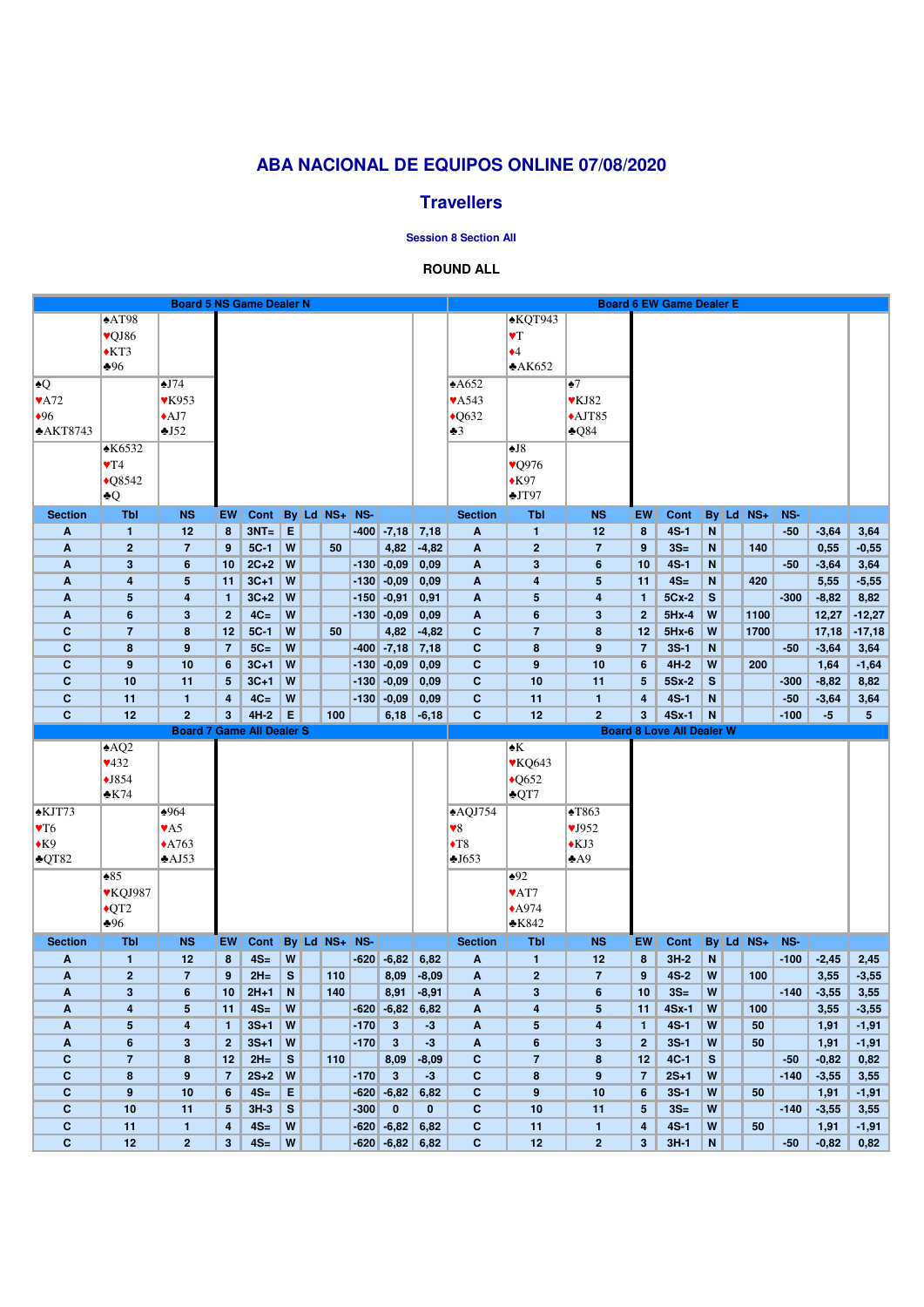# **ABA NACIONAL DE EQUIPOS ONLINE 07/08/2020**

## **Travellers**

#### **Session 8 Section All**

### **ROUND ALL**

|                             |                                | <b>Board 5 NS Game Dealer N</b>  |                     |                |                                |                   |        |                                  |                    |                              |                                |                                |                                           | <b>Board 6 EW Game Dealer E</b>  |                |               |        |                 |                 |
|-----------------------------|--------------------------------|----------------------------------|---------------------|----------------|--------------------------------|-------------------|--------|----------------------------------|--------------------|------------------------------|--------------------------------|--------------------------------|-------------------------------------------|----------------------------------|----------------|---------------|--------|-----------------|-----------------|
|                             | $\triangle$ AT98               |                                  |                     |                |                                |                   |        |                                  |                    |                              | $\triangle KQT943$             |                                |                                           |                                  |                |               |        |                 |                 |
|                             | vQJ86                          |                                  |                     |                |                                |                   |        |                                  |                    |                              | $\blacktriangledown$           |                                |                                           |                                  |                |               |        |                 |                 |
|                             | $*KT3$                         |                                  |                     |                |                                |                   |        |                                  |                    |                              | $\blacklozenge$ 4              |                                |                                           |                                  |                |               |        |                 |                 |
|                             | $\clubsuit 96$                 |                                  |                     |                |                                |                   |        |                                  |                    |                              | A K652                         |                                |                                           |                                  |                |               |        |                 |                 |
| $\clubsuit Q$               |                                | $\triangle$ J74                  |                     |                |                                |                   |        |                                  |                    | A652                         |                                | $\bullet$ 7                    |                                           |                                  |                |               |        |                 |                 |
| $\blacktriangledown$ A72    |                                | $\blacktriangledown$ K953        |                     |                |                                |                   |        |                                  |                    | <b>VA543</b>                 |                                | $\blacktriangledown$ KJ82      |                                           |                                  |                |               |        |                 |                 |
| •96                         |                                | $\triangle$ AJ7                  |                     |                |                                |                   |        |                                  |                    | $\triangle$ Q632             |                                | $\triangle$ AJT85              |                                           |                                  |                |               |        |                 |                 |
| AKT8743                     |                                | $\triangle$ J52                  |                     |                |                                |                   |        |                                  |                    | $\clubsuit 3$                |                                | $\triangle 084$                |                                           |                                  |                |               |        |                 |                 |
|                             | K6532                          |                                  |                     |                |                                |                   |        |                                  |                    |                              | $\blacktriangle$ J8            |                                |                                           |                                  |                |               |        |                 |                 |
|                             | $\Psi T4$                      |                                  |                     |                |                                |                   |        |                                  |                    |                              | ♥Q976                          |                                |                                           |                                  |                |               |        |                 |                 |
|                             | $\sqrt{08542}$                 |                                  |                     |                |                                |                   |        |                                  |                    |                              | $*K97$                         |                                |                                           |                                  |                |               |        |                 |                 |
|                             | $\blacktriangle Q$             |                                  |                     |                |                                |                   |        |                                  |                    |                              | $\triangle J$ T97              |                                |                                           |                                  |                |               |        |                 |                 |
| <b>Section</b>              | <b>Tbl</b>                     | <b>NS</b>                        | EW                  | <b>Cont</b>    |                                | By Ld NS+ NS-     |        |                                  |                    | <b>Section</b>               | <b>Tbl</b>                     | <b>NS</b>                      | EW                                        | Cont                             |                | By Ld NS+     | NS-    |                 |                 |
| A                           | $\mathbf{1}$                   | 12                               | 8                   | $3NT = E$      |                                |                   |        | $-400$ $-7,18$                   | 7,18               | A                            | $\blacksquare$                 | 12                             | 8                                         | $4S-1$                           | N              |               | $-50$  | $-3,64$         | 3,64            |
| A                           | $\overline{2}$                 | $\overline{7}$                   | 9                   | $5C-1$         | W                              | 50                |        | 4,82                             | $-4,82$            | $\mathbf{A}$                 | $\mathbf{2}$                   | $\overline{7}$                 | 9                                         | $3S=$                            | N              | 140           |        | 0,55            | $-0,55$         |
| A                           | $\mathbf{3}$                   | $6\phantom{1}6$                  | 10                  | $2C+2$         | W                              |                   |        | $-130$ $-0,09$                   | 0,09               | A                            | $\mathbf 3$                    | $6\phantom{1}$                 | 10                                        | $4S-1$                           | N              |               | $-50$  | $-3,64$         | 3,64            |
| A                           | 4                              | $5\phantom{.0}$                  | 11                  | $3C+1$         | W                              |                   |        | $-130$ $-0,09$                   | 0,09               | $\mathbf{A}$                 | 4                              | 5                              | 11                                        | $4S=$                            | N              | 420           |        | 5,55            | $-5,55$         |
| A                           | $5\phantom{1}$                 | $\overline{\mathbf{r}}$          | $\mathbf{1}$        | $3C+2$         | W                              |                   |        | $-150$ $-0,91$                   | 0,91               | A                            | 5                              | 4                              | $\mathbf{1}$                              | 5Cx-2                            | $\mathbf{s}$   |               | $-300$ | $-8,82$         | 8,82            |
| A                           | 6                              | $\mathbf{3}$                     | $\overline{2}$      | $4C=$          | W                              |                   |        | $-130$ $-0,09$                   | 0,09               | $\mathbf{A}$                 | 6                              | $\mathbf{3}$                   | $\overline{2}$                            | $5Hx-4$                          | W              | 1100          |        | 12,27           | $-12,27$        |
| $\mathbf C$                 | $\overline{7}$                 | 8                                | 12                  | $5C-1$         | W                              | 50                |        | 4,82                             | $-4,82$            | $\mathbf C$                  | $\overline{7}$                 | 8                              | 12                                        | $5Hx-6$                          | W              | 1700          |        | 17,18           | $-17,18$        |
| $\mathbf C$                 | 8                              | 9                                | $\overline{7}$      | $5C=$          | W                              |                   |        | $-400$ $-7,18$                   | 7,18               | $\mathbf{C}$                 | 8                              | 9                              | $\overline{7}$                            | $3S-1$                           | N              |               | $-50$  | $-3,64$         | 3,64            |
| $\mathbf{C}$                | $9$                            | 10                               | 6                   | $3C+1$         | W                              |                   | $-130$ | $-0,09$                          | 0,09               | $\mathbf{C}$                 | $\boldsymbol{9}$               | 10                             | 6                                         | $4H-2$                           | W              | 200           |        | 1,64            | $-1,64$         |
| $\mathbf{C}$                | 10                             | 11                               | $5\phantom{.0}$     | $3C+1$         | W                              |                   | $-130$ | $-0,09$                          | 0,09               | $\mathbf{C}$                 | 10                             | 11                             | $5\phantom{.0}$                           | 5Sx-2                            | S              |               | $-300$ | $-8,82$         | 8,82            |
| $\mathbf{C}$                | 11                             | $\mathbf{1}$                     | 4                   | $4C=$          | W                              |                   |        | $-130$ $-0,09$                   | 0,09               | $\mathbf{C}$                 | 11                             | $\mathbf{1}$                   | $\overline{\mathbf{4}}$                   | $4S-1$                           | N              |               | $-50$  | $-3,64$         | 3,64            |
| $\mathbf{C}$                | 12                             | $\overline{2}$                   | 3 <sup>5</sup>      | $4H-2$         | E                              | 100               |        | 6,18                             | $-6,18$            | $\mathbf{C}$                 | 12                             | $\overline{2}$                 | $3\phantom{a}$                            | $4Sx-1$                          | N              |               | $-100$ | $-5$            | 5 <sup>5</sup>  |
|                             |                                |                                  |                     |                |                                |                   |        |                                  |                    |                              |                                |                                |                                           |                                  |                |               |        |                 |                 |
|                             |                                | <b>Board 7 Game All Dealer S</b> |                     |                |                                |                   |        |                                  |                    |                              |                                |                                |                                           | <b>Board 8 Love All Dealer W</b> |                |               |        |                 |                 |
|                             | AQ2                            |                                  |                     |                |                                |                   |        |                                  |                    |                              | $\blacktriangle K$             |                                |                                           |                                  |                |               |        |                 |                 |
|                             | 432                            |                                  |                     |                |                                |                   |        |                                  |                    |                              | <b>VKQ643</b>                  |                                |                                           |                                  |                |               |        |                 |                 |
|                             | $\blacklozenge$ J854           |                                  |                     |                |                                |                   |        |                                  |                    |                              | $\triangle$ Q652               |                                |                                           |                                  |                |               |        |                 |                 |
|                             | $\triangle$ K74                |                                  |                     |                |                                |                   |        |                                  |                    |                              | $\triangle$ QT7                |                                |                                           |                                  |                |               |        |                 |                 |
| <b>*KJT73</b>               |                                | $\frac{1}{2}964$                 |                     |                |                                |                   |        |                                  |                    | $\triangle$ AQJ754           |                                | $\triangle$ T863               |                                           |                                  |                |               |        |                 |                 |
| $\Psi$ T6                   |                                | $\blacktriangledown$ A5          |                     |                |                                |                   |        |                                  |                    | $\blacktriangledown 8$       |                                | VJ952                          |                                           |                                  |                |               |        |                 |                 |
| $\triangle$ K9              |                                | $\triangle$ A763                 |                     |                |                                |                   |        |                                  |                    | $\blacklozenge$ T8           |                                | $\triangle$ KJ3                |                                           |                                  |                |               |        |                 |                 |
| $\triangle$ QT82            |                                | $\triangle$ AJ53                 |                     |                |                                |                   |        |                                  |                    | $-1653$                      |                                | $\triangle$ A9                 |                                           |                                  |                |               |        |                 |                 |
|                             | $\triangle 85$                 |                                  |                     |                |                                |                   |        |                                  |                    |                              | $\triangle 92$                 |                                |                                           |                                  |                |               |        |                 |                 |
|                             | ♥KQJ987                        |                                  |                     |                |                                |                   |        |                                  |                    |                              | ♥AT7                           |                                |                                           |                                  |                |               |        |                 |                 |
|                             | $\triangle$ QT2                |                                  |                     |                |                                |                   |        |                                  |                    |                              | $\triangle$ A974               |                                |                                           |                                  |                |               |        |                 |                 |
|                             | $\clubsuit 96$                 |                                  |                     |                |                                |                   |        |                                  |                    |                              | $\triangle$ K842               |                                |                                           |                                  |                |               |        |                 |                 |
| <b>Section</b>              | <b>Tbl</b>                     | <b>NS</b>                        | EW                  | Cont           |                                | $By$ Ld $NS+$ NS- |        |                                  |                    | <b>Section</b>               | <b>Tbl</b>                     | <b>NS</b>                      | EW                                        | Cont                             |                | $By$ Ld $NS+$ | NS-    |                 |                 |
| A<br>A                      | $\mathbf{1}$<br>$\overline{2}$ | 12<br>$\overline{7}$             | 8<br>9              | $4S=$<br>$2H=$ | W<br>S                         | 110               |        | $-620$ $-6,82$<br>8,09           | 6,82               | A<br>$\mathbf{A}$            | $\mathbf{1}$<br>$\overline{2}$ | 12<br>$\overline{7}$           | 8<br>9                                    | $3H-2$<br>$4S-2$                 | N<br>W         | 100           | $-100$ | $-2,45$         | 2,45            |
| A                           | $\mathbf{3}$                   | 6                                | 10                  | $2H+1$         | N                              | 140               |        | 8,91                             | $-8,09$<br>$-8,91$ | A                            | $\mathbf{3}$                   | $6\phantom{1}$                 | 10                                        | $3S=$                            | W              |               | $-140$ | 3,55<br>$-3,55$ | $-3,55$         |
| A                           | 4                              | $5\phantom{.0}$                  | 11                  | $4S=$          | W                              |                   |        | $-620$ $-6,82$                   | 6,82               | A                            | 4                              | 5                              | 11                                        | 4Sx-1                            | W              | 100           |        | 3,55            | 3,55<br>$-3,55$ |
| A                           | $5\phantom{1}$                 | $\overline{\mathbf{4}}$          | $\mathbf{1}$        | $3S+1$         | W                              |                   | $-170$ | $3\phantom{a}$                   | $-3$               | A                            | 5                              | 4                              | $\mathbf{1}$                              | $4S-1$                           | W              | 50            |        | 1,91            | $-1,91$         |
| A                           | $6\phantom{1}$                 | $\mathbf{3}$                     | 2 <sup>1</sup>      | $3S+1$         | W                              |                   | $-170$ | $\mathbf{3}$                     | $-3$               | $\mathbf{A}$                 | $6\phantom{a}$                 | $\mathbf{3}$                   | $\overline{2}$                            | $3S-1$                           | W              | 50            |        | 1,91            | $-1,91$         |
| $\mathbf{C}$                | $\overline{7}$                 | 8                                | 12                  | $2H=$          | S                              | 110               |        | 8,09                             | $-8,09$            | $\mathbf{C}$                 | $\overline{7}$                 | 8                              | 12                                        | $4C-1$                           | S              |               | $-50$  | $-0,82$         | 0,82            |
| $\mathbf{C}$                | 8                              | 9                                | $\overline{7}$      | $2S+2$         | W                              |                   | $-170$ | $\mathbf{3}$                     | $-3$               | $\mathbf{C}$                 | 8                              | 9                              | $\overline{7}$                            | $2S+1$                           | W              |               | $-140$ | $-3,55$         | 3,55            |
| $\mathbf{C}$                | $9$                            | 10                               | 6                   | $4S=$          | E                              |                   | $-620$ | $-6,82$                          | 6,82               | $\mathbf{C}$                 | $\boldsymbol{9}$               | 10                             | $6\phantom{1}6$                           | $3S-1$                           | W              | 50            |        | 1,91            | $-1,91$         |
| $\mathbf{C}$                | 10                             | 11                               | 5                   | $3H-3$         | S                              |                   | $-300$ | $\mathbf{0}$                     | $\mathbf{0}$       | $\mathbf{C}$                 | 10                             | 11                             | $5\phantom{.0}$                           | $3S=$                            | W              |               | $-140$ | $-3,55$         | 3,55            |
| $\mathbf c$<br>$\mathbf{C}$ | 11<br>12                       | $\mathbf{1}$<br>$\overline{2}$   | 4<br>3 <sup>5</sup> | $4S=$<br>$4S=$ | $\boldsymbol{\mathsf{W}}$<br>W |                   |        | $-620$ $-6,82$<br>$-620$ $-6,82$ | 6,82<br>6,82       | $\mathbf{C}$<br>$\mathbf{C}$ | 11<br>12                       | $\mathbf{1}$<br>$\overline{2}$ | $\overline{\mathbf{4}}$<br>$3\phantom{a}$ | $4S-1$<br>$3H-1$                 | W<br>${\bf N}$ | 50            | $-50$  | 1,91<br>$-0,82$ | $-1,91$<br>0,82 |